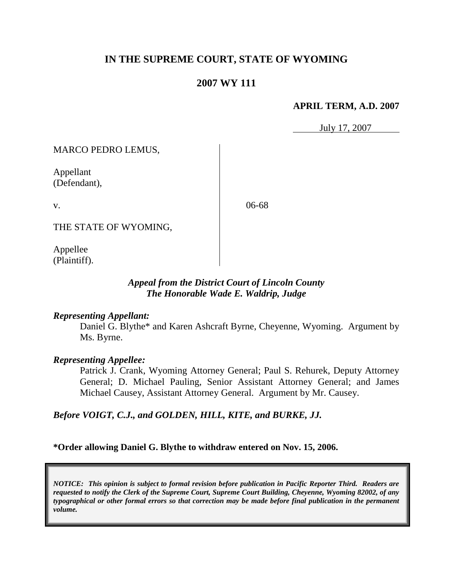# **IN THE SUPREME COURT, STATE OF WYOMING**

## **2007 WY 111**

#### **APRIL TERM, A.D. 2007**

July 17, 2007

MARCO PEDRO LEMUS,

Appellant (Defendant),

v.

06-68

THE STATE OF WYOMING,

Appellee (Plaintiff).

## *Appeal from the District Court of Lincoln County The Honorable Wade E. Waldrip, Judge*

#### *Representing Appellant:*

Daniel G. Blythe\* and Karen Ashcraft Byrne, Cheyenne, Wyoming. Argument by Ms. Byrne.

#### *Representing Appellee:*

Patrick J. Crank, Wyoming Attorney General; Paul S. Rehurek, Deputy Attorney General; D. Michael Pauling, Senior Assistant Attorney General; and James Michael Causey, Assistant Attorney General. Argument by Mr. Causey.

*Before VOIGT, C.J., and GOLDEN, HILL, KITE, and BURKE, JJ.*

**\*Order allowing Daniel G. Blythe to withdraw entered on Nov. 15, 2006.**

*NOTICE: This opinion is subject to formal revision before publication in Pacific Reporter Third. Readers are requested to notify the Clerk of the Supreme Court, Supreme Court Building, Cheyenne, Wyoming 82002, of any typographical or other formal errors so that correction may be made before final publication in the permanent volume.*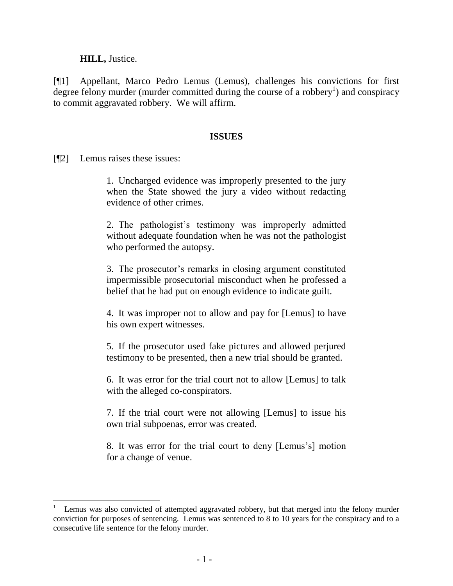### **HILL,** Justice.

[¶1] Appellant, Marco Pedro Lemus (Lemus), challenges his convictions for first degree felony murder (murder committed during the course of a robbery<sup>1</sup>) and conspiracy to commit aggravated robbery. We will affirm.

#### **ISSUES**

[¶2] Lemus raises these issues:

1. Uncharged evidence was improperly presented to the jury when the State showed the jury a video without redacting evidence of other crimes.

2. The pathologist's testimony was improperly admitted without adequate foundation when he was not the pathologist who performed the autopsy.

3. The prosecutor's remarks in closing argument constituted impermissible prosecutorial misconduct when he professed a belief that he had put on enough evidence to indicate guilt.

4. It was improper not to allow and pay for [Lemus] to have his own expert witnesses.

5. If the prosecutor used fake pictures and allowed perjured testimony to be presented, then a new trial should be granted.

6. It was error for the trial court not to allow [Lemus] to talk with the alleged co-conspirators.

7. If the trial court were not allowing [Lemus] to issue his own trial subpoenas, error was created.

8. It was error for the trial court to deny [Lemus's] motion for a change of venue.

<sup>1</sup> Lemus was also convicted of attempted aggravated robbery, but that merged into the felony murder conviction for purposes of sentencing. Lemus was sentenced to 8 to 10 years for the conspiracy and to a consecutive life sentence for the felony murder.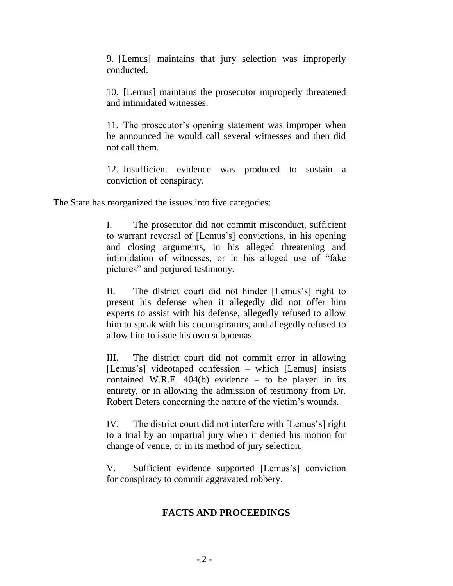9. [Lemus] maintains that jury selection was improperly conducted.

10. [Lemus] maintains the prosecutor improperly threatened and intimidated witnesses.

11. The prosecutor's opening statement was improper when he announced he would call several witnesses and then did not call them.

12. Insufficient evidence was produced to sustain a conviction of conspiracy.

The State has reorganized the issues into five categories:

I. The prosecutor did not commit misconduct, sufficient to warrant reversal of [Lemus's] convictions, in his opening and closing arguments, in his alleged threatening and intimidation of witnesses, or in his alleged use of "fake pictures" and perjured testimony.

II. The district court did not hinder [Lemus's] right to present his defense when it allegedly did not offer him experts to assist with his defense, allegedly refused to allow him to speak with his coconspirators, and allegedly refused to allow him to issue his own subpoenas.

III. The district court did not commit error in allowing [Lemus's] videotaped confession – which [Lemus] insists contained W.R.E.  $404(b)$  evidence – to be played in its entirety, or in allowing the admission of testimony from Dr. Robert Deters concerning the nature of the victim's wounds.

IV. The district court did not interfere with [Lemus's] right to a trial by an impartial jury when it denied his motion for change of venue, or in its method of jury selection.

V. Sufficient evidence supported [Lemus's] conviction for conspiracy to commit aggravated robbery.

# **FACTS AND PROCEEDINGS**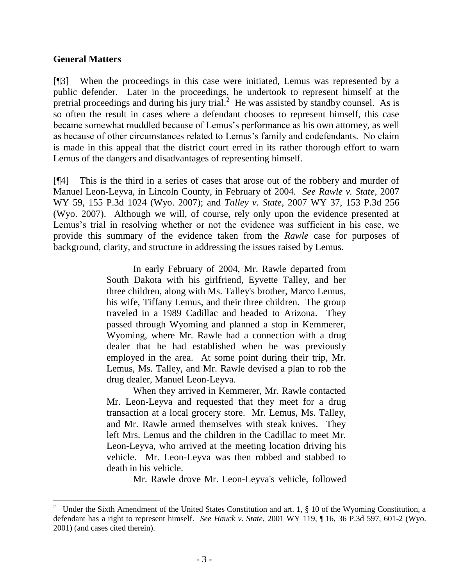## **General Matters**

[¶3] When the proceedings in this case were initiated, Lemus was represented by a public defender. Later in the proceedings, he undertook to represent himself at the pretrial proceedings and during his jury trial.<sup>2</sup> He was assisted by standby counsel. As is so often the result in cases where a defendant chooses to represent himself, this case became somewhat muddled because of Lemus's performance as his own attorney, as well as because of other circumstances related to Lemus's family and codefendants. No claim is made in this appeal that the district court erred in its rather thorough effort to warn Lemus of the dangers and disadvantages of representing himself.

[¶4] This is the third in a series of cases that arose out of the robbery and murder of Manuel Leon-Leyva, in Lincoln County, in February of 2004. *See Rawle v. State*, 2007 WY 59, 155 P.3d 1024 (Wyo. 2007); and *Talley v. State*, 2007 WY 37, 153 P.3d 256 (Wyo. 2007). Although we will, of course, rely only upon the evidence presented at Lemus's trial in resolving whether or not the evidence was sufficient in his case, we provide this summary of the evidence taken from the *Rawle* case for purposes of background, clarity, and structure in addressing the issues raised by Lemus.

> In early February of 2004, Mr. Rawle departed from South Dakota with his girlfriend, Eyvette Talley, and her three children, along with Ms. Talley's brother, Marco Lemus, his wife, Tiffany Lemus, and their three children. The group traveled in a 1989 Cadillac and headed to Arizona. They passed through Wyoming and planned a stop in Kemmerer, Wyoming, where Mr. Rawle had a connection with a drug dealer that he had established when he was previously employed in the area. At some point during their trip, Mr. Lemus, Ms. Talley, and Mr. Rawle devised a plan to rob the drug dealer, Manuel Leon-Leyva.

> When they arrived in Kemmerer, Mr. Rawle contacted Mr. Leon-Leyva and requested that they meet for a drug transaction at a local grocery store. Mr. Lemus, Ms. Talley, and Mr. Rawle armed themselves with steak knives. They left Mrs. Lemus and the children in the Cadillac to meet Mr. Leon-Leyva, who arrived at the meeting location driving his vehicle. Mr. Leon-Leyva was then robbed and stabbed to death in his vehicle.

> > Mr. Rawle drove Mr. Leon-Leyva's vehicle, followed

<sup>2</sup> Under the Sixth Amendment of the United States Constitution and art. 1, § 10 of the Wyoming Constitution, a defendant has a right to represent himself. *See Hauck v. State*, 2001 WY 119, ¶ 16, 36 P.3d 597, 601-2 (Wyo. 2001) (and cases cited therein).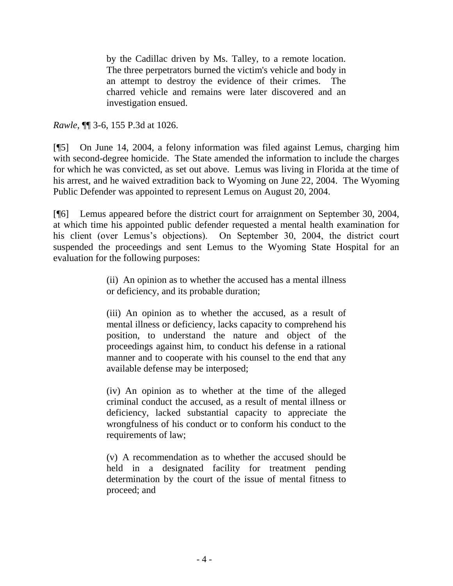by the Cadillac driven by Ms. Talley, to a remote location. The three perpetrators burned the victim's vehicle and body in an attempt to destroy the evidence of their crimes. The charred vehicle and remains were later discovered and an investigation ensued.

*Rawle*, ¶¶ 3-6, 155 P.3d at 1026.

[¶5] On June 14, 2004, a felony information was filed against Lemus, charging him with second-degree homicide. The State amended the information to include the charges for which he was convicted, as set out above. Lemus was living in Florida at the time of his arrest, and he waived extradition back to Wyoming on June 22, 2004. The Wyoming Public Defender was appointed to represent Lemus on August 20, 2004.

[¶6] Lemus appeared before the district court for arraignment on September 30, 2004, at which time his appointed public defender requested a mental health examination for his client (over Lemus's objections). On September 30, 2004, the district court suspended the proceedings and sent Lemus to the Wyoming State Hospital for an evaluation for the following purposes:

> (ii) An opinion as to whether the accused has a mental illness or deficiency, and its probable duration;

> (iii) An opinion as to whether the accused, as a result of mental illness or deficiency, lacks capacity to comprehend his position, to understand the nature and object of the proceedings against him, to conduct his defense in a rational manner and to cooperate with his counsel to the end that any available defense may be interposed;

> (iv) An opinion as to whether at the time of the alleged criminal conduct the accused, as a result of mental illness or deficiency, lacked substantial capacity to appreciate the wrongfulness of his conduct or to conform his conduct to the requirements of law;

> (v) A recommendation as to whether the accused should be held in a designated facility for treatment pending determination by the court of the issue of mental fitness to proceed; and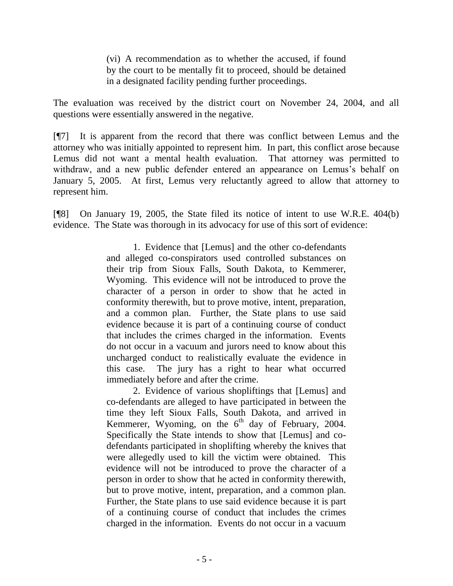(vi) A recommendation as to whether the accused, if found by the court to be mentally fit to proceed, should be detained in a designated facility pending further proceedings.

The evaluation was received by the district court on November 24, 2004, and all questions were essentially answered in the negative.

[¶7] It is apparent from the record that there was conflict between Lemus and the attorney who was initially appointed to represent him. In part, this conflict arose because Lemus did not want a mental health evaluation. That attorney was permitted to withdraw, and a new public defender entered an appearance on Lemus's behalf on January 5, 2005. At first, Lemus very reluctantly agreed to allow that attorney to represent him.

[¶8] On January 19, 2005, the State filed its notice of intent to use W.R.E. 404(b) evidence. The State was thorough in its advocacy for use of this sort of evidence:

> 1. Evidence that [Lemus] and the other co-defendants and alleged co-conspirators used controlled substances on their trip from Sioux Falls, South Dakota, to Kemmerer, Wyoming. This evidence will not be introduced to prove the character of a person in order to show that he acted in conformity therewith, but to prove motive, intent, preparation, and a common plan. Further, the State plans to use said evidence because it is part of a continuing course of conduct that includes the crimes charged in the information. Events do not occur in a vacuum and jurors need to know about this uncharged conduct to realistically evaluate the evidence in this case. The jury has a right to hear what occurred immediately before and after the crime.

> 2. Evidence of various shopliftings that [Lemus] and co-defendants are alleged to have participated in between the time they left Sioux Falls, South Dakota, and arrived in Kemmerer, Wyoming, on the  $6<sup>th</sup>$  day of February, 2004. Specifically the State intends to show that [Lemus] and codefendants participated in shoplifting whereby the knives that were allegedly used to kill the victim were obtained. This evidence will not be introduced to prove the character of a person in order to show that he acted in conformity therewith, but to prove motive, intent, preparation, and a common plan. Further, the State plans to use said evidence because it is part of a continuing course of conduct that includes the crimes charged in the information. Events do not occur in a vacuum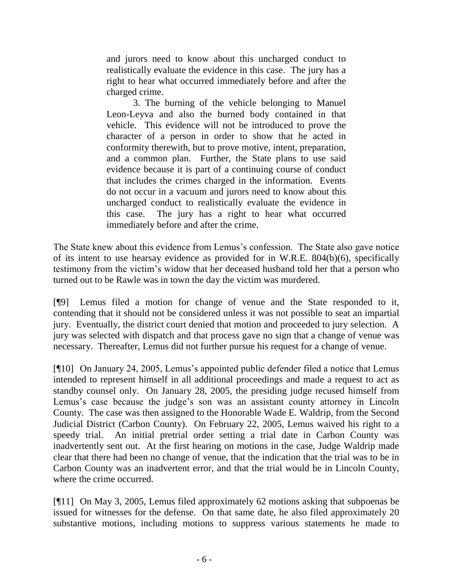and jurors need to know about this uncharged conduct to realistically evaluate the evidence in this case. The jury has a right to hear what occurred immediately before and after the charged crime.

3. The burning of the vehicle belonging to Manuel Leon-Leyva and also the burned body contained in that vehicle. This evidence will not be introduced to prove the character of a person in order to show that he acted in conformity therewith, but to prove motive, intent, preparation, and a common plan. Further, the State plans to use said evidence because it is part of a continuing course of conduct that includes the crimes charged in the information. Events do not occur in a vacuum and jurors need to know about this uncharged conduct to realistically evaluate the evidence in this case. The jury has a right to hear what occurred immediately before and after the crime.

The State knew about this evidence from Lemus's confession. The State also gave notice of its intent to use hearsay evidence as provided for in W.R.E. 804(b)(6), specifically testimony from the victim's widow that her deceased husband told her that a person who turned out to be Rawle was in town the day the victim was murdered.

[¶9] Lemus filed a motion for change of venue and the State responded to it, contending that it should not be considered unless it was not possible to seat an impartial jury. Eventually, the district court denied that motion and proceeded to jury selection. A jury was selected with dispatch and that process gave no sign that a change of venue was necessary. Thereafter, Lemus did not further pursue his request for a change of venue.

[¶10] On January 24, 2005, Lemus's appointed public defender filed a notice that Lemus intended to represent himself in all additional proceedings and made a request to act as standby counsel only. On January 28, 2005, the presiding judge recused himself from Lemus's case because the judge's son was an assistant county attorney in Lincoln County. The case was then assigned to the Honorable Wade E. Waldrip, from the Second Judicial District (Carbon County). On February 22, 2005, Lemus waived his right to a speedy trial. An initial pretrial order setting a trial date in Carbon County was inadvertently sent out. At the first hearing on motions in the case, Judge Waldrip made clear that there had been no change of venue, that the indication that the trial was to be in Carbon County was an inadvertent error, and that the trial would be in Lincoln County, where the crime occurred.

[¶11] On May 3, 2005, Lemus filed approximately 62 motions asking that subpoenas be issued for witnesses for the defense. On that same date, he also filed approximately 20 substantive motions, including motions to suppress various statements he made to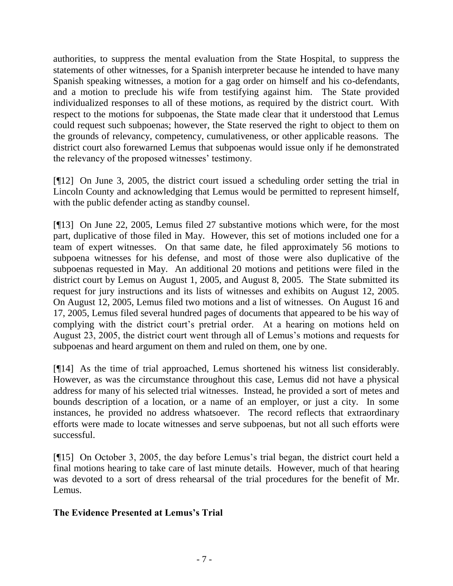authorities, to suppress the mental evaluation from the State Hospital, to suppress the statements of other witnesses, for a Spanish interpreter because he intended to have many Spanish speaking witnesses, a motion for a gag order on himself and his co-defendants, and a motion to preclude his wife from testifying against him. The State provided individualized responses to all of these motions, as required by the district court. With respect to the motions for subpoenas, the State made clear that it understood that Lemus could request such subpoenas; however, the State reserved the right to object to them on the grounds of relevancy, competency, cumulativeness, or other applicable reasons. The district court also forewarned Lemus that subpoenas would issue only if he demonstrated the relevancy of the proposed witnesses' testimony.

[¶12] On June 3, 2005, the district court issued a scheduling order setting the trial in Lincoln County and acknowledging that Lemus would be permitted to represent himself, with the public defender acting as standby counsel.

[¶13] On June 22, 2005, Lemus filed 27 substantive motions which were, for the most part, duplicative of those filed in May. However, this set of motions included one for a team of expert witnesses. On that same date, he filed approximately 56 motions to subpoena witnesses for his defense, and most of those were also duplicative of the subpoenas requested in May. An additional 20 motions and petitions were filed in the district court by Lemus on August 1, 2005, and August 8, 2005. The State submitted its request for jury instructions and its lists of witnesses and exhibits on August 12, 2005. On August 12, 2005, Lemus filed two motions and a list of witnesses. On August 16 and 17, 2005, Lemus filed several hundred pages of documents that appeared to be his way of complying with the district court's pretrial order. At a hearing on motions held on August 23, 2005, the district court went through all of Lemus's motions and requests for subpoenas and heard argument on them and ruled on them, one by one.

[¶14] As the time of trial approached, Lemus shortened his witness list considerably. However, as was the circumstance throughout this case, Lemus did not have a physical address for many of his selected trial witnesses. Instead, he provided a sort of metes and bounds description of a location, or a name of an employer, or just a city. In some instances, he provided no address whatsoever. The record reflects that extraordinary efforts were made to locate witnesses and serve subpoenas, but not all such efforts were successful.

[¶15] On October 3, 2005, the day before Lemus's trial began, the district court held a final motions hearing to take care of last minute details. However, much of that hearing was devoted to a sort of dress rehearsal of the trial procedures for the benefit of Mr. Lemus.

# **The Evidence Presented at Lemus's Trial**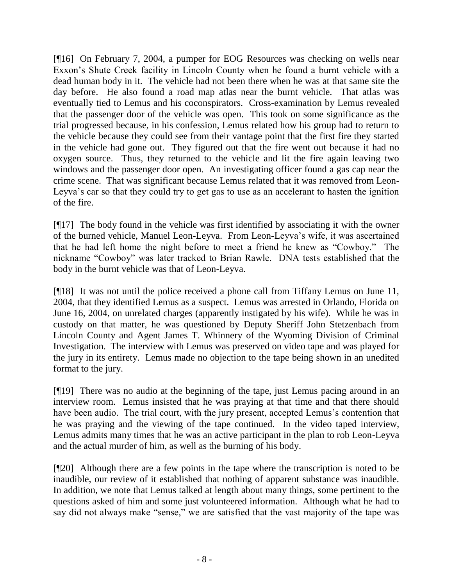[¶16] On February 7, 2004, a pumper for EOG Resources was checking on wells near Exxon's Shute Creek facility in Lincoln County when he found a burnt vehicle with a dead human body in it. The vehicle had not been there when he was at that same site the day before. He also found a road map atlas near the burnt vehicle. That atlas was eventually tied to Lemus and his coconspirators. Cross-examination by Lemus revealed that the passenger door of the vehicle was open. This took on some significance as the trial progressed because, in his confession, Lemus related how his group had to return to the vehicle because they could see from their vantage point that the first fire they started in the vehicle had gone out. They figured out that the fire went out because it had no oxygen source. Thus, they returned to the vehicle and lit the fire again leaving two windows and the passenger door open. An investigating officer found a gas cap near the crime scene. That was significant because Lemus related that it was removed from Leon-Leyva's car so that they could try to get gas to use as an accelerant to hasten the ignition of the fire.

[¶17] The body found in the vehicle was first identified by associating it with the owner of the burned vehicle, Manuel Leon-Leyva. From Leon-Leyva's wife, it was ascertained that he had left home the night before to meet a friend he knew as "Cowboy." The nickname "Cowboy" was later tracked to Brian Rawle. DNA tests established that the body in the burnt vehicle was that of Leon-Leyva.

[¶18] It was not until the police received a phone call from Tiffany Lemus on June 11, 2004, that they identified Lemus as a suspect. Lemus was arrested in Orlando, Florida on June 16, 2004, on unrelated charges (apparently instigated by his wife). While he was in custody on that matter, he was questioned by Deputy Sheriff John Stetzenbach from Lincoln County and Agent James T. Whinnery of the Wyoming Division of Criminal Investigation. The interview with Lemus was preserved on video tape and was played for the jury in its entirety. Lemus made no objection to the tape being shown in an unedited format to the jury.

[¶19] There was no audio at the beginning of the tape, just Lemus pacing around in an interview room. Lemus insisted that he was praying at that time and that there should have been audio. The trial court, with the jury present, accepted Lemus's contention that he was praying and the viewing of the tape continued. In the video taped interview, Lemus admits many times that he was an active participant in the plan to rob Leon-Leyva and the actual murder of him, as well as the burning of his body.

[¶20] Although there are a few points in the tape where the transcription is noted to be inaudible, our review of it established that nothing of apparent substance was inaudible. In addition, we note that Lemus talked at length about many things, some pertinent to the questions asked of him and some just volunteered information. Although what he had to say did not always make "sense," we are satisfied that the vast majority of the tape was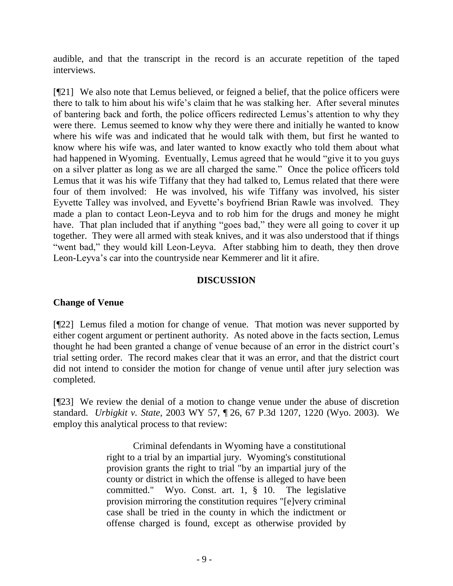audible, and that the transcript in the record is an accurate repetition of the taped interviews.

[¶21] We also note that Lemus believed, or feigned a belief, that the police officers were there to talk to him about his wife's claim that he was stalking her. After several minutes of bantering back and forth, the police officers redirected Lemus's attention to why they were there. Lemus seemed to know why they were there and initially he wanted to know where his wife was and indicated that he would talk with them, but first he wanted to know where his wife was, and later wanted to know exactly who told them about what had happened in Wyoming. Eventually, Lemus agreed that he would "give it to you guys on a silver platter as long as we are all charged the same." Once the police officers told Lemus that it was his wife Tiffany that they had talked to, Lemus related that there were four of them involved: He was involved, his wife Tiffany was involved, his sister Eyvette Talley was involved, and Eyvette's boyfriend Brian Rawle was involved. They made a plan to contact Leon-Leyva and to rob him for the drugs and money he might have. That plan included that if anything "goes bad," they were all going to cover it up together. They were all armed with steak knives, and it was also understood that if things "went bad," they would kill Leon-Leyva. After stabbing him to death, they then drove Leon-Leyva's car into the countryside near Kemmerer and lit it afire.

# **DISCUSSION**

# **Change of Venue**

[¶22] Lemus filed a motion for change of venue. That motion was never supported by either cogent argument or pertinent authority. As noted above in the facts section, Lemus thought he had been granted a change of venue because of an error in the district court's trial setting order. The record makes clear that it was an error, and that the district court did not intend to consider the motion for change of venue until after jury selection was completed.

[¶23] We review the denial of a motion to change venue under the abuse of discretion standard. *Urbigkit v. State*, 2003 WY 57, ¶ 26, 67 P.3d 1207, 1220 (Wyo. 2003). We employ this analytical process to that review:

> Criminal defendants in Wyoming have a constitutional right to a trial by an impartial jury. Wyoming's constitutional provision grants the right to trial "by an impartial jury of the county or district in which the offense is alleged to have been committed." Wyo. Const. art. 1, § 10. The legislative provision mirroring the constitution requires "[e]very criminal case shall be tried in the county in which the indictment or offense charged is found, except as otherwise provided by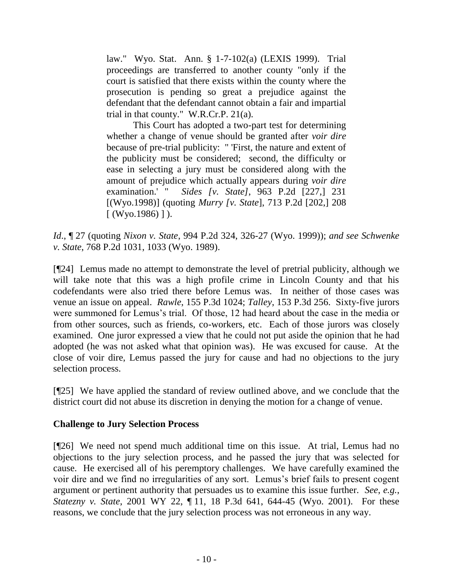law." Wyo. Stat. Ann. § 1-7-102(a) (LEXIS 1999). Trial proceedings are transferred to another county "only if the court is satisfied that there exists within the county where the prosecution is pending so great a prejudice against the defendant that the defendant cannot obtain a fair and impartial trial in that county." W.R.Cr.P. 21(a).

This Court has adopted a two-part test for determining whether a change of venue should be granted after *voir dire* because of pre-trial publicity: " 'First, the nature and extent of the publicity must be considered; second, the difficulty or ease in selecting a jury must be considered along with the amount of prejudice which actually appears during *voir dire* examination.' " *Sides [v. State]*, 963 P.2d [227,] 231 [(Wyo.1998)] (quoting *Murry [v. State*], 713 P.2d [202,] 208  $[$  (Wyo.1986)]).

*Id*., ¶ 27 (quoting *Nixon v. State*, 994 P.2d 324, 326-27 (Wyo. 1999)); *and see Schwenke v. State*, 768 P.2d 1031, 1033 (Wyo. 1989).

[¶24] Lemus made no attempt to demonstrate the level of pretrial publicity, although we will take note that this was a high profile crime in Lincoln County and that his codefendants were also tried there before Lemus was. In neither of those cases was venue an issue on appeal. *Rawle*, 155 P.3d 1024; *Talley*, 153 P.3d 256. Sixty-five jurors were summoned for Lemus's trial. Of those, 12 had heard about the case in the media or from other sources, such as friends, co-workers, etc. Each of those jurors was closely examined. One juror expressed a view that he could not put aside the opinion that he had adopted (he was not asked what that opinion was). He was excused for cause. At the close of voir dire, Lemus passed the jury for cause and had no objections to the jury selection process.

[¶25] We have applied the standard of review outlined above, and we conclude that the district court did not abuse its discretion in denying the motion for a change of venue.

# **Challenge to Jury Selection Process**

[¶26] We need not spend much additional time on this issue. At trial, Lemus had no objections to the jury selection process, and he passed the jury that was selected for cause. He exercised all of his peremptory challenges. We have carefully examined the voir dire and we find no irregularities of any sort. Lemus's brief fails to present cogent argument or pertinent authority that persuades us to examine this issue further. *See*, *e.g.*, *Statezny v. State*, 2001 WY 22, ¶ 11, 18 P.3d 641, 644-45 (Wyo. 2001). For these reasons, we conclude that the jury selection process was not erroneous in any way.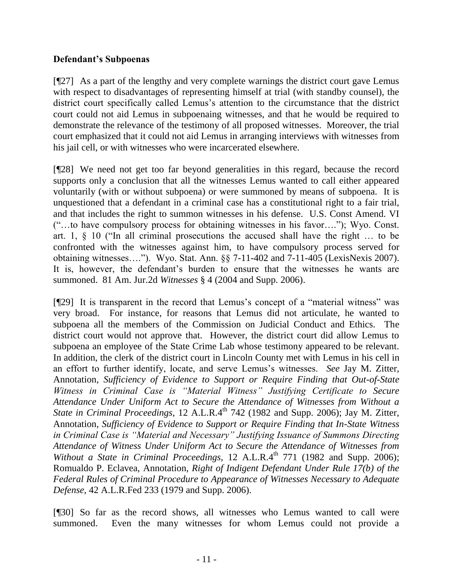# **Defendant's Subpoenas**

[¶27] As a part of the lengthy and very complete warnings the district court gave Lemus with respect to disadvantages of representing himself at trial (with standby counsel), the district court specifically called Lemus's attention to the circumstance that the district court could not aid Lemus in subpoenaing witnesses, and that he would be required to demonstrate the relevance of the testimony of all proposed witnesses. Moreover, the trial court emphasized that it could not aid Lemus in arranging interviews with witnesses from his jail cell, or with witnesses who were incarcerated elsewhere.

[¶28] We need not get too far beyond generalities in this regard, because the record supports only a conclusion that all the witnesses Lemus wanted to call either appeared voluntarily (with or without subpoena) or were summoned by means of subpoena. It is unquestioned that a defendant in a criminal case has a constitutional right to a fair trial, and that includes the right to summon witnesses in his defense. U.S. Const Amend. VI ("…to have compulsory process for obtaining witnesses in his favor…."); Wyo. Const. art. 1, § 10 ("In all criminal prosecutions the accused shall have the right … to be confronted with the witnesses against him, to have compulsory process served for obtaining witnesses…."). Wyo. Stat. Ann. §§ 7-11-402 and 7-11-405 (LexisNexis 2007). It is, however, the defendant's burden to ensure that the witnesses he wants are summoned. 81 Am. Jur.2d *Witnesses* § 4 (2004 and Supp. 2006).

[¶29] It is transparent in the record that Lemus's concept of a "material witness" was very broad. For instance, for reasons that Lemus did not articulate, he wanted to subpoena all the members of the Commission on Judicial Conduct and Ethics. The district court would not approve that. However, the district court did allow Lemus to subpoena an employee of the State Crime Lab whose testimony appeared to be relevant. In addition, the clerk of the district court in Lincoln County met with Lemus in his cell in an effort to further identify, locate, and serve Lemus's witnesses. *See* Jay M. Zitter, Annotation, *Sufficiency of Evidence to Support or Require Finding that Out-of-State Witness in Criminal Case is "Material Witness" Justifying Certificate to Secure Attendance Under Uniform Act to Secure the Attendance of Witnesses from Without a State in Criminal Proceedings*, 12 A.L.R.4<sup>th</sup> 742 (1982 and Supp. 2006); Jay M. Zitter, Annotation, *Sufficiency of Evidence to Support or Require Finding that In-State Witness in Criminal Case is "Material and Necessary" Justifying Issuance of Summons Directing Attendance of Witness Under Uniform Act to Secure the Attendance of Witnesses from Without a State in Criminal Proceedings, 12 A.L.R.4<sup>th</sup> 771 (1982 and Supp. 2006);* Romualdo P. Eclavea, Annotation, *Right of Indigent Defendant Under Rule 17(b) of the Federal Rules of Criminal Procedure to Appearance of Witnesses Necessary to Adequate Defense*, 42 A.L.R.Fed 233 (1979 and Supp. 2006).

[¶30] So far as the record shows, all witnesses who Lemus wanted to call were summoned. Even the many witnesses for whom Lemus could not provide a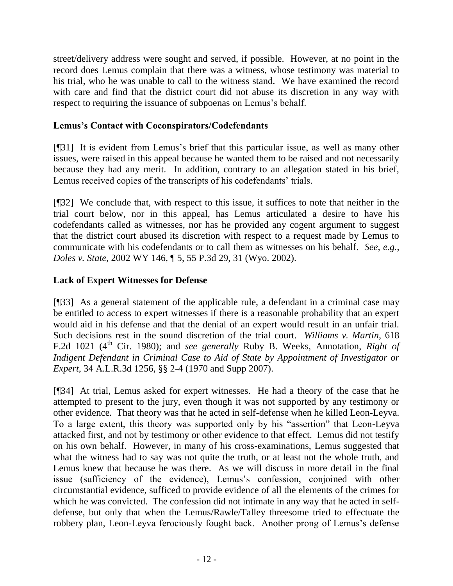street/delivery address were sought and served, if possible. However, at no point in the record does Lemus complain that there was a witness, whose testimony was material to his trial, who he was unable to call to the witness stand. We have examined the record with care and find that the district court did not abuse its discretion in any way with respect to requiring the issuance of subpoenas on Lemus's behalf.

# **Lemus's Contact with Coconspirators/Codefendants**

[¶31] It is evident from Lemus's brief that this particular issue, as well as many other issues, were raised in this appeal because he wanted them to be raised and not necessarily because they had any merit. In addition, contrary to an allegation stated in his brief, Lemus received copies of the transcripts of his codefendants' trials.

[¶32] We conclude that, with respect to this issue, it suffices to note that neither in the trial court below, nor in this appeal, has Lemus articulated a desire to have his codefendants called as witnesses, nor has he provided any cogent argument to suggest that the district court abused its discretion with respect to a request made by Lemus to communicate with his codefendants or to call them as witnesses on his behalf. *See, e.g.*, *Doles v. State*, 2002 WY 146, ¶ 5, 55 P.3d 29, 31 (Wyo. 2002).

# **Lack of Expert Witnesses for Defense**

[¶33] As a general statement of the applicable rule, a defendant in a criminal case may be entitled to access to expert witnesses if there is a reasonable probability that an expert would aid in his defense and that the denial of an expert would result in an unfair trial. Such decisions rest in the sound discretion of the trial court. *Williams v. Martin*, 618 F.2d 1021 (4<sup>th</sup> Cir. 1980); and *see generally* Ruby B. Weeks, Annotation, *Right of Indigent Defendant in Criminal Case to Aid of State by Appointment of Investigator or Expert*, 34 A.L.R.3d 1256, §§ 2-4 (1970 and Supp 2007).

[¶34] At trial, Lemus asked for expert witnesses. He had a theory of the case that he attempted to present to the jury, even though it was not supported by any testimony or other evidence. That theory was that he acted in self-defense when he killed Leon-Leyva. To a large extent, this theory was supported only by his "assertion" that Leon-Leyva attacked first, and not by testimony or other evidence to that effect. Lemus did not testify on his own behalf. However, in many of his cross-examinations, Lemus suggested that what the witness had to say was not quite the truth, or at least not the whole truth, and Lemus knew that because he was there. As we will discuss in more detail in the final issue (sufficiency of the evidence), Lemus's confession, conjoined with other circumstantial evidence, sufficed to provide evidence of all the elements of the crimes for which he was convicted. The confession did not intimate in any way that he acted in selfdefense, but only that when the Lemus/Rawle/Talley threesome tried to effectuate the robbery plan, Leon-Leyva ferociously fought back. Another prong of Lemus's defense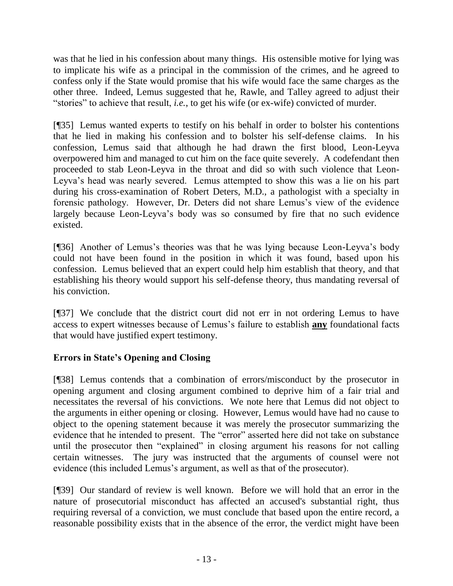was that he lied in his confession about many things. His ostensible motive for lying was to implicate his wife as a principal in the commission of the crimes, and he agreed to confess only if the State would promise that his wife would face the same charges as the other three. Indeed, Lemus suggested that he, Rawle, and Talley agreed to adjust their "stories" to achieve that result, *i.e.*, to get his wife (or ex-wife) convicted of murder.

[¶35] Lemus wanted experts to testify on his behalf in order to bolster his contentions that he lied in making his confession and to bolster his self-defense claims. In his confession, Lemus said that although he had drawn the first blood, Leon-Leyva overpowered him and managed to cut him on the face quite severely. A codefendant then proceeded to stab Leon-Leyva in the throat and did so with such violence that Leon-Leyva's head was nearly severed. Lemus attempted to show this was a lie on his part during his cross-examination of Robert Deters, M.D., a pathologist with a specialty in forensic pathology. However, Dr. Deters did not share Lemus's view of the evidence largely because Leon-Leyva's body was so consumed by fire that no such evidence existed.

[¶36] Another of Lemus's theories was that he was lying because Leon-Leyva's body could not have been found in the position in which it was found, based upon his confession. Lemus believed that an expert could help him establish that theory, and that establishing his theory would support his self-defense theory, thus mandating reversal of his conviction.

[¶37] We conclude that the district court did not err in not ordering Lemus to have access to expert witnesses because of Lemus's failure to establish **any** foundational facts that would have justified expert testimony.

# **Errors in State's Opening and Closing**

[¶38] Lemus contends that a combination of errors/misconduct by the prosecutor in opening argument and closing argument combined to deprive him of a fair trial and necessitates the reversal of his convictions. We note here that Lemus did not object to the arguments in either opening or closing. However, Lemus would have had no cause to object to the opening statement because it was merely the prosecutor summarizing the evidence that he intended to present. The "error" asserted here did not take on substance until the prosecutor then "explained" in closing argument his reasons for not calling certain witnesses. The jury was instructed that the arguments of counsel were not evidence (this included Lemus's argument, as well as that of the prosecutor).

[¶39] Our standard of review is well known. Before we will hold that an error in the nature of prosecutorial misconduct has affected an accused's substantial right, thus requiring reversal of a conviction, we must conclude that based upon the entire record, a reasonable possibility exists that in the absence of the error, the verdict might have been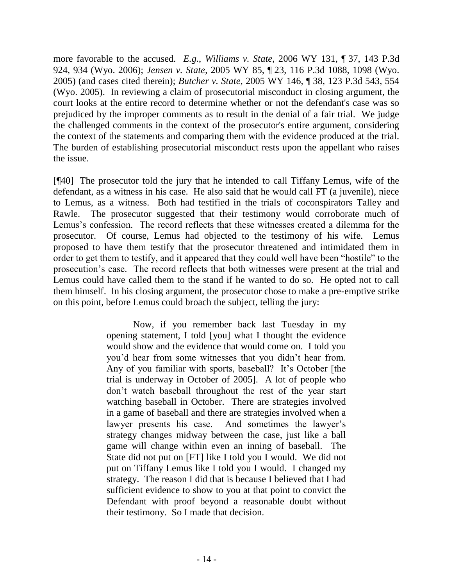more favorable to the accused. *E.g.*, *Williams v. State*, 2006 WY 131, ¶ 37, 143 P.3d 924, 934 (Wyo. 2006); *Jensen v. State*, 2005 WY 85, ¶ 23, 116 P.3d 1088, 1098 (Wyo. 2005) (and cases cited therein); *Butcher v. State*, 2005 WY 146, ¶ 38, 123 P.3d 543, 554 (Wyo. 2005). In reviewing a claim of prosecutorial misconduct in closing argument, the court looks at the entire record to determine whether or not the defendant's case was so prejudiced by the improper comments as to result in the denial of a fair trial. We judge the challenged comments in the context of the prosecutor's entire argument, considering the context of the statements and comparing them with the evidence produced at the trial. The burden of establishing prosecutorial misconduct rests upon the appellant who raises the issue.

[¶40] The prosecutor told the jury that he intended to call Tiffany Lemus, wife of the defendant, as a witness in his case. He also said that he would call FT (a juvenile), niece to Lemus, as a witness. Both had testified in the trials of coconspirators Talley and Rawle. The prosecutor suggested that their testimony would corroborate much of Lemus's confession. The record reflects that these witnesses created a dilemma for the prosecutor. Of course, Lemus had objected to the testimony of his wife. Lemus proposed to have them testify that the prosecutor threatened and intimidated them in order to get them to testify, and it appeared that they could well have been "hostile" to the prosecution's case. The record reflects that both witnesses were present at the trial and Lemus could have called them to the stand if he wanted to do so. He opted not to call them himself. In his closing argument, the prosecutor chose to make a pre-emptive strike on this point, before Lemus could broach the subject, telling the jury:

> Now, if you remember back last Tuesday in my opening statement, I told [you] what I thought the evidence would show and the evidence that would come on. I told you you'd hear from some witnesses that you didn't hear from. Any of you familiar with sports, baseball? It's October [the trial is underway in October of 2005]. A lot of people who don't watch baseball throughout the rest of the year start watching baseball in October. There are strategies involved in a game of baseball and there are strategies involved when a lawyer presents his case. And sometimes the lawyer's strategy changes midway between the case, just like a ball game will change within even an inning of baseball. The State did not put on [FT] like I told you I would. We did not put on Tiffany Lemus like I told you I would. I changed my strategy. The reason I did that is because I believed that I had sufficient evidence to show to you at that point to convict the Defendant with proof beyond a reasonable doubt without their testimony. So I made that decision.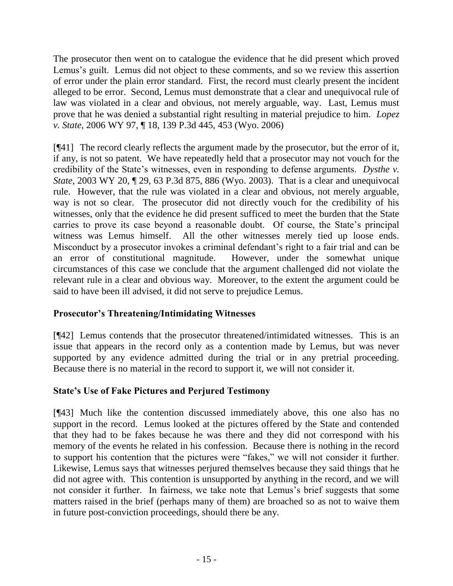The prosecutor then went on to catalogue the evidence that he did present which proved Lemus's guilt. Lemus did not object to these comments, and so we review this assertion of error under the plain error standard. First, the record must clearly present the incident alleged to be error. Second, Lemus must demonstrate that a clear and unequivocal rule of law was violated in a clear and obvious, not merely arguable, way. Last, Lemus must prove that he was denied a substantial right resulting in material prejudice to him. *Lopez v. State*, 2006 WY 97, ¶ 18, 139 P.3d 445, 453 (Wyo. 2006)

[¶41] The record clearly reflects the argument made by the prosecutor, but the error of it, if any, is not so patent. We have repeatedly held that a prosecutor may not vouch for the credibility of the State's witnesses, even in responding to defense arguments. *Dysthe v. State*, 2003 WY 20, ¶ 29, 63 P.3d 875, 886 (Wyo. 2003). That is a clear and unequivocal rule. However, that the rule was violated in a clear and obvious, not merely arguable, way is not so clear. The prosecutor did not directly vouch for the credibility of his witnesses, only that the evidence he did present sufficed to meet the burden that the State carries to prove its case beyond a reasonable doubt. Of course, the State's principal witness was Lemus himself. All the other witnesses merely tied up loose ends. Misconduct by a prosecutor invokes a criminal defendant's right to a fair trial and can be an error of constitutional magnitude. However, under the somewhat unique circumstances of this case we conclude that the argument challenged did not violate the relevant rule in a clear and obvious way. Moreover, to the extent the argument could be said to have been ill advised, it did not serve to prejudice Lemus.

# **Prosecutor's Threatening/Intimidating Witnesses**

[¶42] Lemus contends that the prosecutor threatened/intimidated witnesses. This is an issue that appears in the record only as a contention made by Lemus, but was never supported by any evidence admitted during the trial or in any pretrial proceeding. Because there is no material in the record to support it, we will not consider it.

# **State's Use of Fake Pictures and Perjured Testimony**

[¶43] Much like the contention discussed immediately above, this one also has no support in the record. Lemus looked at the pictures offered by the State and contended that they had to be fakes because he was there and they did not correspond with his memory of the events he related in his confession. Because there is nothing in the record to support his contention that the pictures were "fakes," we will not consider it further. Likewise, Lemus says that witnesses perjured themselves because they said things that he did not agree with. This contention is unsupported by anything in the record, and we will not consider it further. In fairness, we take note that Lemus's brief suggests that some matters raised in the brief (perhaps many of them) are broached so as not to waive them in future post-conviction proceedings, should there be any.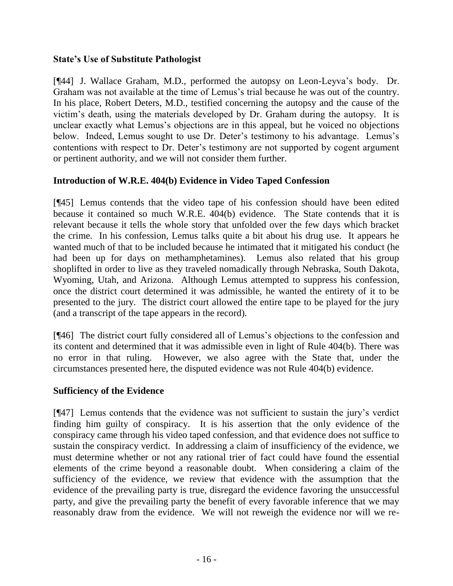# **State's Use of Substitute Pathologist**

[¶44] J. Wallace Graham, M.D., performed the autopsy on Leon-Leyva's body. Dr. Graham was not available at the time of Lemus's trial because he was out of the country. In his place, Robert Deters, M.D., testified concerning the autopsy and the cause of the victim's death, using the materials developed by Dr. Graham during the autopsy. It is unclear exactly what Lemus's objections are in this appeal, but he voiced no objections below. Indeed, Lemus sought to use Dr. Deter's testimony to his advantage. Lemus's contentions with respect to Dr. Deter's testimony are not supported by cogent argument or pertinent authority, and we will not consider them further.

# **Introduction of W.R.E. 404(b) Evidence in Video Taped Confession**

[¶45] Lemus contends that the video tape of his confession should have been edited because it contained so much W.R.E. 404(b) evidence. The State contends that it is relevant because it tells the whole story that unfolded over the few days which bracket the crime. In his confession, Lemus talks quite a bit about his drug use. It appears he wanted much of that to be included because he intimated that it mitigated his conduct (he had been up for days on methamphetamines). Lemus also related that his group shoplifted in order to live as they traveled nomadically through Nebraska, South Dakota, Wyoming, Utah, and Arizona. Although Lemus attempted to suppress his confession, once the district court determined it was admissible, he wanted the entirety of it to be presented to the jury. The district court allowed the entire tape to be played for the jury (and a transcript of the tape appears in the record).

[¶46] The district court fully considered all of Lemus's objections to the confession and its content and determined that it was admissible even in light of Rule 404(b). There was no error in that ruling. However, we also agree with the State that, under the circumstances presented here, the disputed evidence was not Rule 404(b) evidence.

# **Sufficiency of the Evidence**

[¶47] Lemus contends that the evidence was not sufficient to sustain the jury's verdict finding him guilty of conspiracy. It is his assertion that the only evidence of the conspiracy came through his video taped confession, and that evidence does not suffice to sustain the conspiracy verdict. In addressing a claim of insufficiency of the evidence, we must determine whether or not any rational trier of fact could have found the essential elements of the crime beyond a reasonable doubt. When considering a claim of the sufficiency of the evidence, we review that evidence with the assumption that the evidence of the prevailing party is true, disregard the evidence favoring the unsuccessful party, and give the prevailing party the benefit of every favorable inference that we may reasonably draw from the evidence. We will not reweigh the evidence nor will we re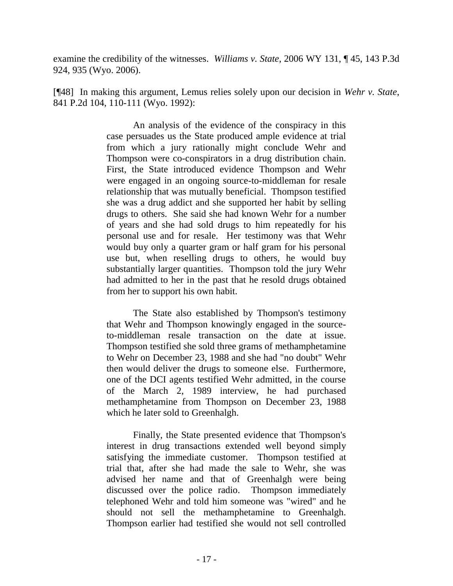examine the credibility of the witnesses. *Williams v. State*, 2006 WY 131, ¶ 45, 143 P.3d 924, 935 (Wyo. 2006).

[¶48] In making this argument, Lemus relies solely upon our decision in *Wehr v. State*, 841 P.2d 104, 110-111 (Wyo. 1992):

> An analysis of the evidence of the conspiracy in this case persuades us the State produced ample evidence at trial from which a jury rationally might conclude Wehr and Thompson were co-conspirators in a drug distribution chain. First, the State introduced evidence Thompson and Wehr were engaged in an ongoing source-to-middleman for resale relationship that was mutually beneficial. Thompson testified she was a drug addict and she supported her habit by selling drugs to others. She said she had known Wehr for a number of years and she had sold drugs to him repeatedly for his personal use and for resale. Her testimony was that Wehr would buy only a quarter gram or half gram for his personal use but, when reselling drugs to others, he would buy substantially larger quantities. Thompson told the jury Wehr had admitted to her in the past that he resold drugs obtained from her to support his own habit.

> The State also established by Thompson's testimony that Wehr and Thompson knowingly engaged in the sourceto-middleman resale transaction on the date at issue. Thompson testified she sold three grams of methamphetamine to Wehr on December 23, 1988 and she had "no doubt" Wehr then would deliver the drugs to someone else. Furthermore, one of the DCI agents testified Wehr admitted, in the course of the March 2, 1989 interview, he had purchased methamphetamine from Thompson on December 23, 1988 which he later sold to Greenhalgh.

> Finally, the State presented evidence that Thompson's interest in drug transactions extended well beyond simply satisfying the immediate customer. Thompson testified at trial that, after she had made the sale to Wehr, she was advised her name and that of Greenhalgh were being discussed over the police radio. Thompson immediately telephoned Wehr and told him someone was "wired" and he should not sell the methamphetamine to Greenhalgh. Thompson earlier had testified she would not sell controlled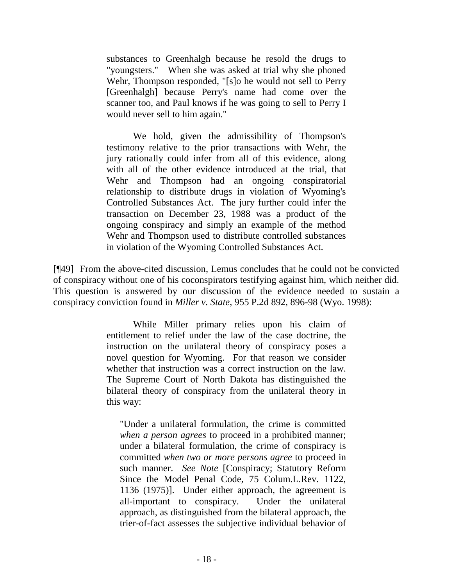substances to Greenhalgh because he resold the drugs to "youngsters." When she was asked at trial why she phoned Wehr, Thompson responded, "[s]o he would not sell to Perry [Greenhalgh] because Perry's name had come over the scanner too, and Paul knows if he was going to sell to Perry I would never sell to him again."

We hold, given the admissibility of Thompson's testimony relative to the prior transactions with Wehr, the jury rationally could infer from all of this evidence, along with all of the other evidence introduced at the trial, that Wehr and Thompson had an ongoing conspiratorial relationship to distribute drugs in violation of Wyoming's Controlled Substances Act. The jury further could infer the transaction on December 23, 1988 was a product of the ongoing conspiracy and simply an example of the method Wehr and Thompson used to distribute controlled substances in violation of the Wyoming Controlled Substances Act.

[¶49] From the above-cited discussion, Lemus concludes that he could not be convicted of conspiracy without one of his coconspirators testifying against him, which neither did. This question is answered by our discussion of the evidence needed to sustain a conspiracy conviction found in *Miller v. State*, 955 P.2d 892, 896-98 (Wyo. 1998):

> While Miller primary relies upon his claim of entitlement to relief under the law of the case doctrine, the instruction on the unilateral theory of conspiracy poses a novel question for Wyoming. For that reason we consider whether that instruction was a correct instruction on the law. The Supreme Court of North Dakota has distinguished the bilateral theory of conspiracy from the unilateral theory in this way:

"Under a unilateral formulation, the crime is committed *when a person agrees* to proceed in a prohibited manner; under a bilateral formulation, the crime of conspiracy is committed *when two or more persons agree* to proceed in such manner. *See Note* [Conspiracy; Statutory Reform Since the Model Penal Code, 75 Colum.L.Rev. 1122, 1136 (1975)]. Under either approach, the agreement is all-important to conspiracy. Under the unilateral approach, as distinguished from the bilateral approach, the trier-of-fact assesses the subjective individual behavior of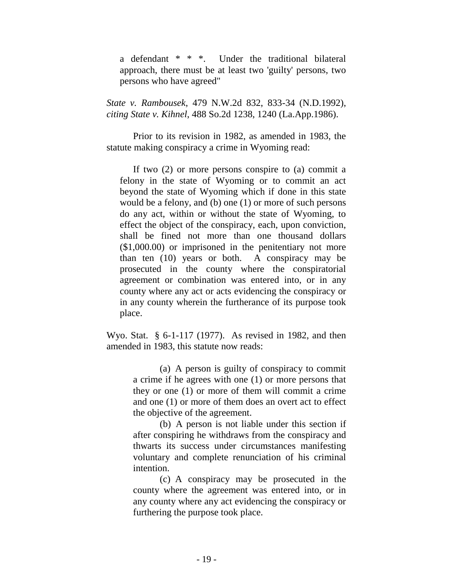a defendant \* \* \*. Under the traditional bilateral approach, there must be at least two 'guilty' persons, two persons who have agreed"

*State v. Rambousek*, 479 N.W.2d 832, 833-34 (N.D.1992), *citing State v. Kihnel*, 488 So.2d 1238, 1240 (La.App.1986).

Prior to its revision in 1982, as amended in 1983, the statute making conspiracy a crime in Wyoming read:

If two (2) or more persons conspire to (a) commit a felony in the state of Wyoming or to commit an act beyond the state of Wyoming which if done in this state would be a felony, and (b) one (1) or more of such persons do any act, within or without the state of Wyoming, to effect the object of the conspiracy, each, upon conviction, shall be fined not more than one thousand dollars (\$1,000.00) or imprisoned in the penitentiary not more than ten (10) years or both. A conspiracy may be prosecuted in the county where the conspiratorial agreement or combination was entered into, or in any county where any act or acts evidencing the conspiracy or in any county wherein the furtherance of its purpose took place.

Wyo. Stat. § 6-1-117 (1977). As revised in 1982, and then amended in 1983, this statute now reads:

> (a) A person is guilty of conspiracy to commit a crime if he agrees with one (1) or more persons that they or one (1) or more of them will commit a crime and one (1) or more of them does an overt act to effect the objective of the agreement.

> (b) A person is not liable under this section if after conspiring he withdraws from the conspiracy and thwarts its success under circumstances manifesting voluntary and complete renunciation of his criminal intention.

> (c) A conspiracy may be prosecuted in the county where the agreement was entered into, or in any county where any act evidencing the conspiracy or furthering the purpose took place.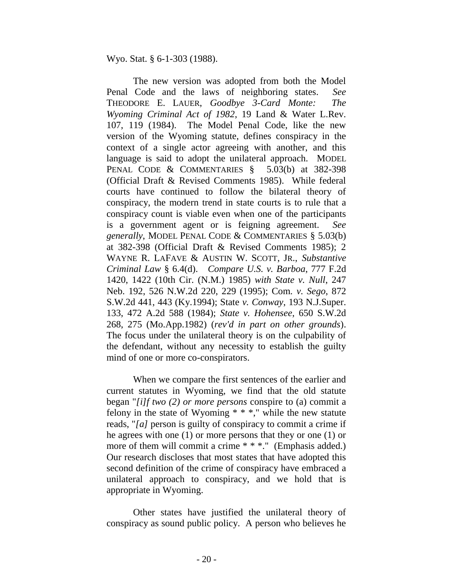Wyo. Stat. § 6-1-303 (1988).

The new version was adopted from both the Model Penal Code and the laws of neighboring states. *See* THEODORE E. LAUER, *Goodbye 3-Card Monte: The Wyoming Criminal Act of 1982*, 19 Land & Water L.Rev. 107, 119 (1984). The Model Penal Code, like the new version of the Wyoming statute, defines conspiracy in the context of a single actor agreeing with another, and this language is said to adopt the unilateral approach. MODEL PENAL CODE & COMMENTARIES § 5.03(b) at 382-398 (Official Draft & Revised Comments 1985). While federal courts have continued to follow the bilateral theory of conspiracy, the modern trend in state courts is to rule that a conspiracy count is viable even when one of the participants is a government agent or is feigning agreement. *See generally*, MODEL PENAL CODE & COMMENTARIES § 5.03(b) at 382-398 (Official Draft & Revised Comments 1985); 2 WAYNE R. LAFAVE & AUSTIN W. SCOTT, JR., *Substantive Criminal Law* § 6.4(d). *Compare U.S. v. Barboa*, 777 F.2d 1420, 1422 (10th Cir. (N.M.) 1985) *with State v. Null*, 247 Neb. 192, 526 N.W.2d 220, 229 (1995); Com*. v. Sego*, 872 S.W.2d 441, 443 (Ky.1994); State *v. Conway*, 193 N.J.Super. 133, 472 A.2d 588 (1984); *State v. Hohensee*, 650 S.W.2d 268, 275 (Mo.App.1982) (*rev'd in part on other grounds*). The focus under the unilateral theory is on the culpability of the defendant, without any necessity to establish the guilty mind of one or more co-conspirators.

When we compare the first sentences of the earlier and current statutes in Wyoming, we find that the old statute began "*[i]f two (2) or more persons* conspire to (a) commit a felony in the state of Wyoming  $**$ ," while the new statute reads, "*[a]* person is guilty of conspiracy to commit a crime if he agrees with one (1) or more persons that they or one (1) or more of them will commit a crime \* \* \*." (Emphasis added.) Our research discloses that most states that have adopted this second definition of the crime of conspiracy have embraced a unilateral approach to conspiracy, and we hold that is appropriate in Wyoming.

Other states have justified the unilateral theory of conspiracy as sound public policy. A person who believes he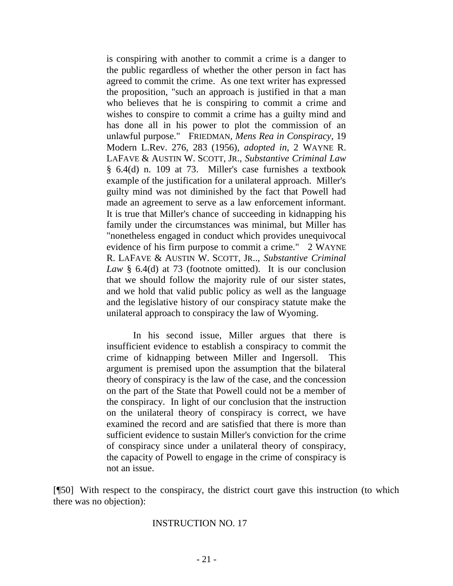is conspiring with another to commit a crime is a danger to the public regardless of whether the other person in fact has agreed to commit the crime. As one text writer has expressed the proposition, "such an approach is justified in that a man who believes that he is conspiring to commit a crime and wishes to conspire to commit a crime has a guilty mind and has done all in his power to plot the commission of an unlawful purpose." FRIEDMAN, *Mens Rea in Conspiracy*, 19 Modern L.Rev. 276, 283 (1956), *adopted in*, 2 WAYNE R. LAFAVE & AUSTIN W. SCOTT, JR., *Substantive Criminal Law*  § 6.4(d) n. 109 at 73. Miller's case furnishes a textbook example of the justification for a unilateral approach. Miller's guilty mind was not diminished by the fact that Powell had made an agreement to serve as a law enforcement informant. It is true that Miller's chance of succeeding in kidnapping his family under the circumstances was minimal, but Miller has "nonetheless engaged in conduct which provides unequivocal evidence of his firm purpose to commit a crime." 2 WAYNE R. LAFAVE & AUSTIN W. SCOTT, JR.., *Substantive Criminal Law* § 6.4(d) at 73 (footnote omitted). It is our conclusion that we should follow the majority rule of our sister states, and we hold that valid public policy as well as the language and the legislative history of our conspiracy statute make the unilateral approach to conspiracy the law of Wyoming.

In his second issue, Miller argues that there is insufficient evidence to establish a conspiracy to commit the crime of kidnapping between Miller and Ingersoll. This argument is premised upon the assumption that the bilateral theory of conspiracy is the law of the case, and the concession on the part of the State that Powell could not be a member of the conspiracy. In light of our conclusion that the instruction on the unilateral theory of conspiracy is correct, we have examined the record and are satisfied that there is more than sufficient evidence to sustain Miller's conviction for the crime of conspiracy since under a unilateral theory of conspiracy, the capacity of Powell to engage in the crime of conspiracy is not an issue.

[¶50] With respect to the conspiracy, the district court gave this instruction (to which there was no objection):

#### INSTRUCTION NO. 17